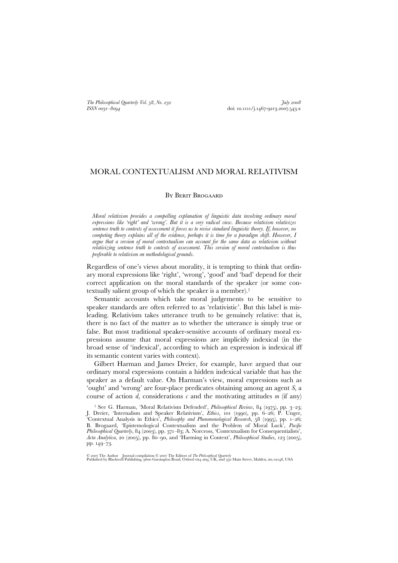# MORAL CONTEXTUALISM AND MORAL RELATIVISM

### BY BERIT BROGAARD

*Moral relativism provides a compelling explanation of linguistic data involving ordinary moral expressions like 'right' and 'wrong'. But it is a very radical view. Because relativism relativizes sentence truth to contexts of assessment it forces us to revise standard linguistic theory. If, however, no competing theory explains all of the evidence, perhaps it is time for a paradigm shift. However, I argue that a version of moral contextualism can account for the same data as relativism without relativizing sentence truth to contexts of assessment. This version of moral contextualism is thus preferable to relativism on methodological grounds.*

Regardless of one's views about morality, it is tempting to think that ordinary moral expressions like 'right', 'wrong', 'good' and 'bad' depend for their correct application on the moral standards of the speaker (or some contextually salient group of which the speaker is a member).<sup>1</sup>

Semantic accounts which take moral judgements to be sensitive to speaker standards are often referred to as 'relativistic'. But this label is misleading. Relativism takes utterance truth to be genuinely relative: that is, there is no fact of the matter as to whether the utterance is simply true or false. But most traditional speaker-sensitive accounts of ordinary moral expressions assume that moral expressions are implicitly indexical (in the broad sense of 'indexical', according to which an expression is indexical iff its semantic content varies with context).

Gilbert Harman and James Dreier, for example, have argued that our ordinary moral expressions contain a hidden indexical variable that has the speaker as a default value. On Harman's view, moral expressions such as 'ought' and 'wrong' are four-place predicates obtaining among an agent *S*, a course of action *d*, considerations  $c$  and the motivating attitudes *m* (if any)

<sup>1</sup> See G. Harman, 'Moral Relativism Defended', *Philosophical Review*, 84 (1975), pp. 3-23; J. Dreier, 'Internalism and Speaker Relativism', *Ethics*, tot (1990), pp. 6-26; P. Unger, 'Contextual Analysis in Ethics<sup>3</sup>, *Philosophy and Phenomenological Research*, 58 (1995), pp. 1-26; B. Brogaard, 'Epistemological Contextualism and the Problem of Moral Luck', *Pacific Philosophical Quarterly*, 84 (2003), pp. 371–83; A. Norcross, 'Contextualism for Consequentialists', Acta Analytica, 20 (2005), pp. 80–90, and 'Harming in Context', *Philosophical Studies*, 123 (2005), pp. 149-73.

<sup>© 2007</sup> The Author Journal compilation © 2007 The Editors of *The Philosophical Quarterly*<br>Published by Blackwell Publishing, 9600 Garsington Road, Oxford 0x4 200, UK, and 350 Main Street, Malden, mA 02148, USA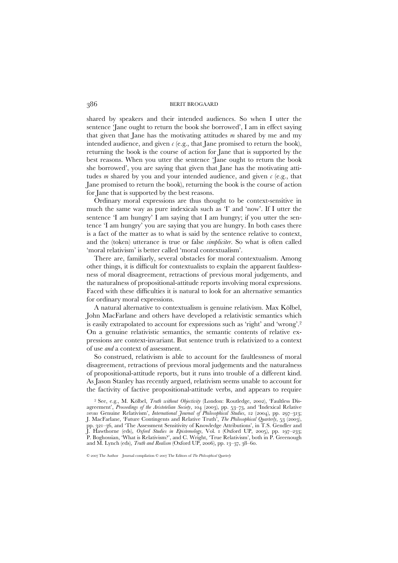shared by speakers and their intended audiences. So when I utter the sentence 'Jane ought to return the book she borrowed', I am in effect saying that given that Jane has the motivating attitudes *m* shared by me and my intended audience, and given *c* (e.g., that Jane promised to return the book), returning the book is the course of action for Jane that is supported by the best reasons. When you utter the sentence 'Jane ought to return the book she borrowed', you are saying that given that Jane has the motivating attitudes *m* shared by you and your intended audience, and given *c* (e.g., that Jane promised to return the book), returning the book is the course of action for Jane that is supported by the best reasons.

Ordinary moral expressions are thus thought to be context-sensitive in much the same way as pure indexicals such as 'I' and 'now'. If I utter the sentence 'I am hungry' I am saying that I am hungry; if you utter the sentence 'I am hungry' you are saying that you are hungry. In both cases there is a fact of the matter as to what is said by the sentence relative to context, and the (token) utterance is true or false *simpliciter*. So what is often called 'moral relativism' is better called 'moral contextualism'.

There are, familiarly, several obstacles for moral contextualism. Among other things, it is difficult for contextualists to explain the apparent faultlessness of moral disagreement, retractions of previous moral judgements, and the naturalness of propositional-attitude reports involving moral expressions. Faced with these difficulties it is natural to look for an alternative semantics for ordinary moral expressions.

A natural alternative to contextualism is genuine relativism. Max Kölbel, John MacFarlane and others have developed a relativistic semantics which is easily extrapolated to account for expressions such as 'right' and 'wrong'.2 On a genuine relativistic semantics, the semantic contents of relative expressions are context-invariant. But sentence truth is relativized to a context of use *and* a context of assessment.

So construed, relativism is able to account for the faultlessness of moral disagreement, retractions of previous moral judgements and the naturalness of propositional-attitude reports, but it runs into trouble of a different kind. As Jason Stanley has recently argued, relativism seems unable to account for the factivity of factive propositional-attitude verbs, and appears to require

<sup>2</sup> See, e.g., M. Kölbel, *Truth without Objectivity* (London: Routledge, 2002), 'Faultless Disagreement', *Proceedings of the Aristotelian Society*, 104 (2003), pp. 53-73, and 'Indexical Relative *versus* Genuine Relativism', *International Journal of Philosophical Studies*, 12 (2004), pp. 297-313; J. MacFarlane, 'Future Contingents and Relative Truth', *The Philosophical Quarterly*, 53 (2003), pp. 321-36, and 'The Assessment Sensitivity of Knowledge Attributions', in T.S. Gendler and J. Hawthorne (eds), *Oxford Studies in Epistemology*, Vol. I (Oxford UP, 2005), pp. 197-233; P. Boghossian, 'What is Relativism?', and C. Wright, 'True Relativism', both in P. Greenough and M. Lynch (eds), *Truth and Realism* (Oxford UP, 2006), pp. 13-37, 38-60.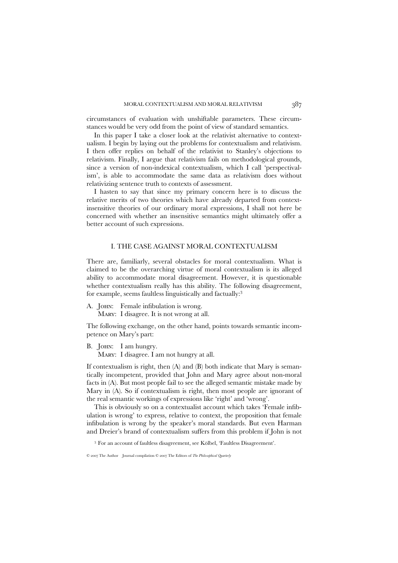circumstances of evaluation with unshiftable parameters. These circumstances would be very odd from the point of view of standard semantics.

In this paper I take a closer look at the relativist alternative to contextualism. I begin by laying out the problems for contextualism and relativism. I then offer replies on behalf of the relativist to Stanley's objections to relativism. Finally, I argue that relativism fails on methodological grounds, since a version of non-indexical contextualism, which I call 'perspectivalism', is able to accommodate the same data as relativism does without relativizing sentence truth to contexts of assessment.

I hasten to say that since my primary concern here is to discuss the relative merits of two theories which have already departed from contextinsensitive theories of our ordinary moral expressions, I shall not here be concerned with whether an insensitive semantics might ultimately offer a better account of such expressions.

## I. THE CASE AGAINST MORAL CONTEXTUALISM

There are, familiarly, several obstacles for moral contextualism. What is claimed to be the overarching virtue of moral contextualism is its alleged ability to accommodate moral disagreement. However, it is questionable whether contextualism really has this ability. The following disagreement, for example, seems faultless linguistically and factually:3

A. JOHN: Female infibulation is wrong. MARY: I disagree. It is not wrong at all.

The following exchange, on the other hand, points towards semantic incompetence on Mary's part:

B. JOHN: I am hungry. MARY: I disagree. I am not hungry at all.

If contextualism is right, then (A) and (B) both indicate that Mary is semantically incompetent, provided that John and Mary agree about non-moral facts in (A). But most people fail to see the alleged semantic mistake made by Mary in (A). So if contextualism is right, then most people are ignorant of the real semantic workings of expressions like 'right' and 'wrong'.

This is obviously so on a contextualist account which takes 'Female infibulation is wrong' to express, relative to context, the proposition that female infibulation is wrong by the speaker's moral standards. But even Harman and Dreier's brand of contextualism suffers from this problem if John is not

<sup>3</sup> For an account of faultless disagreement, see Kölbel, 'Faultless Disagreement'.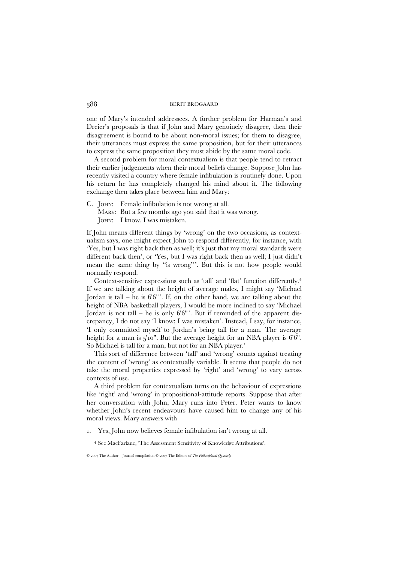one of Mary's intended addressees. A further problem for Harman's and Dreier's proposals is that if John and Mary genuinely disagree, then their disagreement is bound to be about non-moral issues; for them to disagree, their utterances must express the same proposition, but for their utterances to express the same proposition they must abide by the same moral code.

A second problem for moral contextualism is that people tend to retract their earlier judgements when their moral beliefs change. Suppose John has recently visited a country where female infibulation is routinely done. Upon his return he has completely changed his mind about it. The following exchange then takes place between him and Mary:

C. JOHN: Female infibulation is not wrong at all. MARY: But a few months ago you said that it was wrong. JOHN: I know. I was mistaken.

If John means different things by 'wrong' on the two occasions, as contextualism says, one might expect John to respond differently, for instance, with 'Yes, but I was right back then as well; it's just that my moral standards were different back then', or 'Yes, but I was right back then as well; I just didn't mean the same thing by "is wrong"'. But this is not how people would normally respond.

Context-sensitive expressions such as 'tall' and 'flat' function differently.4 If we are talking about the height of average males, I might say 'Michael Jordan is tall – he is  $6'6''$ . If, on the other hand, we are talking about the height of NBA basketball players, I would be more inclined to say 'Michael Jordan is not tall – he is only  $6'6''$ . But if reminded of the apparent discrepancy, I do not say 'I know; I was mistaken'. Instead, I say, for instance, 'I only committed myself to Jordan's being tall for a man. The average height for a man is  $\frac{1}{5}$ ' no". But the average height for an NBA player is 6'6". So Michael is tall for a man, but not for an NBA player.'

This sort of difference between 'tall' and 'wrong' counts against treating the content of 'wrong' as contextually variable. It seems that people do not take the moral properties expressed by 'right' and 'wrong' to vary across contexts of use.

A third problem for contextualism turns on the behaviour of expressions like 'right' and 'wrong' in propositional-attitude reports. Suppose that after her conversation with John, Mary runs into Peter. Peter wants to know whether John's recent endeavours have caused him to change any of his moral views. Mary answers with

. Yes, John now believes female infibulation isn't wrong at all.

<sup>4</sup> See MacFarlane, 'The Assessment Sensitivity of Knowledge Attributions'.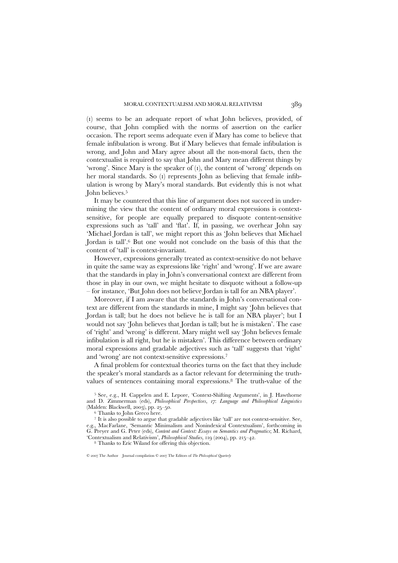() seems to be an adequate report of what John believes, provided, of course, that John complied with the norms of assertion on the earlier occasion. The report seems adequate even if Mary has come to believe that female infibulation is wrong. But if Mary believes that female infibulation is wrong, and John and Mary agree about all the non-moral facts, then the contextualist is required to say that John and Mary mean different things by 'wrong'. Since Mary is the speaker of (i), the content of 'wrong' depends on her moral standards. So (i) represents John as believing that female infibulation is wrong by Mary's moral standards. But evidently this is not what John believes.5

It may be countered that this line of argument does not succeed in undermining the view that the content of ordinary moral expressions is contextsensitive, for people are equally prepared to disquote content-sensitive expressions such as 'tall' and 'flat'. If, in passing, we overhear John say 'Michael Jordan is tall', we might report this as 'John believes that Michael Jordan is tall'.6 But one would not conclude on the basis of this that the content of 'tall' is context-invariant.

However, expressions generally treated as context-sensitive do not behave in quite the same way as expressions like 'right' and 'wrong'. If we are aware that the standards in play in John's conversational context are different from those in play in our own, we might hesitate to disquote without a follow-up – for instance, 'But John does not believe Jordan is tall for an NBA player'.

Moreover, if I am aware that the standards in John's conversational context are different from the standards in mine, I might say 'John believes that Jordan is tall; but he does not believe he is tall for an NBA player'; but I would not say 'John believes that Jordan is tall; but he is mistaken'. The case of 'right' and 'wrong' is different. Mary might well say 'John believes female infibulation is all right, but he is mistaken'. This difference between ordinary moral expressions and gradable adjectives such as 'tall' suggests that 'right' and 'wrong' are not context-sensitive expressions.7

A final problem for contextual theories turns on the fact that they include the speaker's moral standards as a factor relevant for determining the truthvalues of sentences containing moral expressions.8 The truth-value of the

<sup>5</sup> See, e.g., H. Cappelen and E. Lepore, 'Context-Shifting Arguments', in J. Hawthorne and D. Zimmerman (eds), *Philosophical Perspectives*, 17: Language and Philosophical Linguistics (Malden: Blackwell, 2003), pp. 25–50.

<sup>8</sup> Thanks to Eric Wiland for offering this objection.

<sup>6</sup> Thanks to John Greco here.

<sup>7</sup> It is also possible to argue that gradable adjectives like 'tall' are not context-sensitive. See, e.g., MacFarlane, 'Semantic Minimalism and Nonindexical Contextualism', forthcoming in G. Preyer and G. Peter (eds), *Content and Context: Essays on Semantics and Pragmatics*; M. Richard, 'Contextualism and Relativism', *Philosophical Studies*, 119 (2004), pp. 215-42.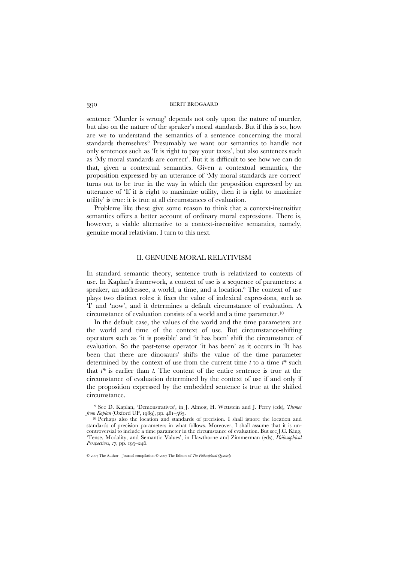sentence 'Murder is wrong' depends not only upon the nature of murder, but also on the nature of the speaker's moral standards. But if this is so, how are we to understand the semantics of a sentence concerning the moral standards themselves? Presumably we want our semantics to handle not only sentences such as 'It is right to pay your taxes', but also sentences such as 'My moral standards are correct'. But it is difficult to see how we can do that, given a contextual semantics. Given a contextual semantics, the proposition expressed by an utterance of 'My moral standards are correct' turns out to be true in the way in which the proposition expressed by an utterance of 'If it is right to maximize utility, then it is right to maximize utility' is true: it is true at all circumstances of evaluation.

Problems like these give some reason to think that a context-insensitive semantics offers a better account of ordinary moral expressions. There is, however, a viable alternative to a context-insensitive semantics, namely, genuine moral relativism. I turn to this next.

## II. GENUINE MORAL RELATIVISM

In standard semantic theory, sentence truth is relativized to contexts of use. In Kaplan's framework, a context of use is a sequence of parameters: a speaker, an addressee, a world, a time, and a location.9 The context of use plays two distinct roles: it fixes the value of indexical expressions, such as 'I' and 'now', and it determines a default circumstance of evaluation. A circumstance of evaluation consists of a world and a time parameter.10

In the default case, the values of the world and the time parameters are the world and time of the context of use. But circumstance-shifting operators such as 'it is possible' and 'it has been' shift the circumstance of evaluation. So the past-tense operator 'it has been' as it occurs in 'It has been that there are dinosaurs' shifts the value of the time parameter determined by the context of use from the current time *t* to a time *t\** such that *t\** is earlier than *t*. The content of the entire sentence is true at the circumstance of evaluation determined by the context of use if and only if the proposition expressed by the embedded sentence is true at the shifted circumstance.

<sup>9</sup> See D. Kaplan, 'Demonstratives', in J. Almog, H. Wettstein and J. Perry (eds), *Themes from Kaplan* (Oxford UP, 1989), pp. 481-563.

<sup>&</sup>lt;sup>10</sup> Perhaps also the location and standards of precision. I shall ignore the location and standards of precision parameters in what follows. Moreover, I shall assume that it is uncontroversial to include a time parameter in the circumstance of evaluation. But see J.C. King, 'Tense, Modality, and Semantic Values', in Hawthorne and Zimmerman (eds), *Philosophical Perspectives, 17, pp. 195-246.* 

<sup>© 2007</sup> The Author Journal compilation © 2007 The Editors of *The Philosophical Quarterly*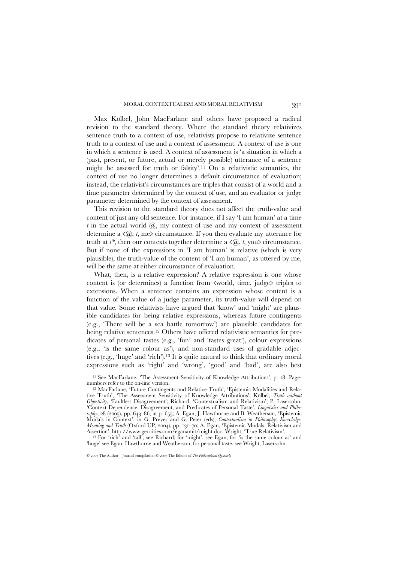Max Kölbel, John MacFarlane and others have proposed a radical revision to the standard theory. Where the standard theory relativizes sentence truth to a context of use, relativists propose to relativize sentence truth to a context of use and a context of assessment. A context of use is one in which a sentence is used. A context of assessment is 'a situation in which a (past, present, or future, actual or merely possible) utterance of a sentence might be assessed for truth or falsity'.11 On a relativistic semantics, the context of use no longer determines a default circumstance of evaluation; instead, the relativist's circumstances are triples that consist of a world and a time parameter determined by the context of use, and an evaluator or judge parameter determined by the context of assessment.

This revision to the standard theory does not affect the truth-value and content of just any old sentence. For instance, if I say 'I am human' at a time  $t$  in the actual world  $(\hat{\alpha})$ , my context of use and my context of assessment determine a  $\langle \mathcal{Q}, t \rangle$ , me  $\rangle$  circumstance. If you then evaluate my utterance for truth at  $t^*$ , then our contexts together determine a  $\langle \mathcal{Q}, t, \text{you} \rangle$  circumstance. But if none of the expressions in 'I am human' is relative (which is very plausible), the truth-value of the content of 'I am human', as uttered by me, will be the same at either circumstance of evaluation.

What, then, is a relative expression? A relative expression is one whose content is (or determines) a function from <world, time, judge> triples to extensions. When a sentence contains an expression whose content is a function of the value of a judge parameter, its truth-value will depend on that value. Some relativists have argued that 'know' and 'might' are plausible candidates for being relative expressions, whereas future contingents (e.g., 'There will be a sea battle tomorrow') are plausible candidates for being relative sentences.12 Others have offered relativistic semantics for predicates of personal tastes (e.g., 'fun' and 'tastes great'), colour expressions (e.g., 'is the same colour as'), and non-standard uses of gradable adjectives (e.g., 'huge' and 'rich').13 It is quite natural to think that ordinary moral expressions such as 'right' and 'wrong', 'good' and 'bad', are also best

<sup>11</sup> See MacFarlane, 'The Assessment Sensitivity of Knowledge Attributions', p. 18. Pagenumbers refer to the on-line version.

<sup>12</sup> MacFarlane, 'Future Contingents and Relative Truth', 'Epistemic Modalities and Relative Truth', 'The Assessment Sensitivity of Knowledge Attributions'; Kölbel, *Truth without Objectivity*, 'Faultless Disagreement'; Richard, 'Contextualism and Relativism'; P. Lasersohn, 'Context Dependence, Disagreement, and Predicates of Personal Taste', *Linguistics and Philo*sophy, 28 (2005), pp. 643–86, at p. 655; A. Egan, J. Hawthorne and B. Weatherson, 'Epistemic Modals in Context', in G. Preyer and G. Peter (eds), *Contextualism in Philosophy*: *Knowledge, Meaning and Truth* (Oxford UP, 2004), pp. 131-70; A. Egan, 'Epistemic Modals, Relativism and Assertion', http://www.geocities.com/eganamit/might.doc; Wright, 'True Relativism'.

<sup>13</sup> For 'rich' and 'tall', see Richard; for 'might', see Egan; for 'is the same colour as' and 'huge' see Egan, Hawthorne and Weatherson; for personal taste, see Wright, Lasersohn.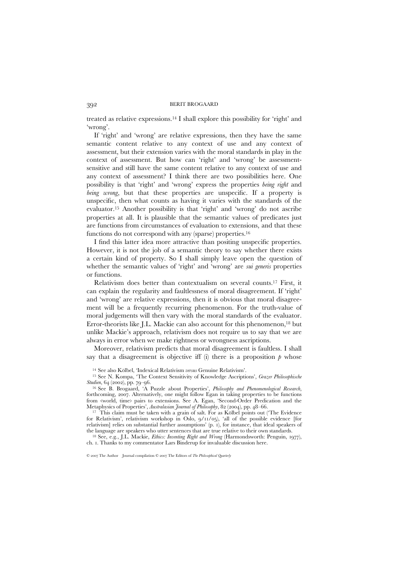treated as relative expressions.14 I shall explore this possibility for 'right' and 'wrong'.

If 'right' and 'wrong' are relative expressions, then they have the same semantic content relative to any context of use and any context of assessment, but their extension varies with the moral standards in play in the context of assessment. But how can 'right' and 'wrong' be assessmentsensitive and still have the same content relative to any context of use and any context of assessment? I think there are two possibilities here. One possibility is that 'right' and 'wrong' express the properties *being right* and *being wrong*, but that these properties are unspecific. If a property is unspecific, then what counts as having it varies with the standards of the evaluator.15 Another possibility is that 'right' and 'wrong' do not ascribe properties at all. It is plausible that the semantic values of predicates just are functions from circumstances of evaluation to extensions, and that these functions do not correspond with any (sparse) properties.16

I find this latter idea more attractive than positing unspecific properties. However, it is not the job of a semantic theory to say whether there exists a certain kind of property. So I shall simply leave open the question of whether the semantic values of 'right' and 'wrong' are *sui generis* properties or functions.

Relativism does better than contextualism on several counts.17 First, it can explain the regularity and faultlessness of moral disagreement. If 'right' and 'wrong' are relative expressions, then it is obvious that moral disagreement will be a frequently recurring phenomenon. For the truth-value of moral judgements will then vary with the moral standards of the evaluator. Error-theorists like J.L. Mackie can also account for this phenomenon,<sup>18</sup> but unlike Mackie's approach, relativism does not require us to say that we are always in error when we make rightness or wrongness ascriptions.

Moreover, relativism predicts that moral disagreement is faultless. I shall say that a disagreement is objective iff (i) there is a proposition  $p$  whose

<sup>14</sup> See also Kölbel, 'Indexical Relativism *versus* Genuine Relativism'.

<sup>16</sup> See B. Brogaard, 'A Puzzle about Properties', *Philosophy and Phenomenological Research*, forthcoming, 2007. Alternatively, one might follow Egan in taking properties to be functions from <world, time> pairs to extensions. See A. Egan, 'Second-Order Predication and the Metaphysics of Properties', *Australasian Journal of Philosophy*, 82 (2004), pp. 48-66.

17 This claim must be taken with a grain of salt. For as Kölbel points out ('The Evidence for Relativism', relativism workshop in Oslo,  $9/11/05$ , 'all of the possible evidence [for relativism] relies on substantial further assumptions' (p. i), for instance, that ideal speakers of the language are speakers who utter sentences that are true relative to their own standards.

<sup>18</sup> See, e.g., J.L. Mackie, *Ethics: Inventing Right and Wrong* (Harmondsworth: Penguin, 1977), ch. . Thanks to my commentator Lars Binderup for invaluable discussion here.

<sup>15</sup> See N. Kompa, 'The Context Sensitivity of Knowledge Ascriptions', *Grazer Philosophische Studien*, 64 (2002), pp. 79-96.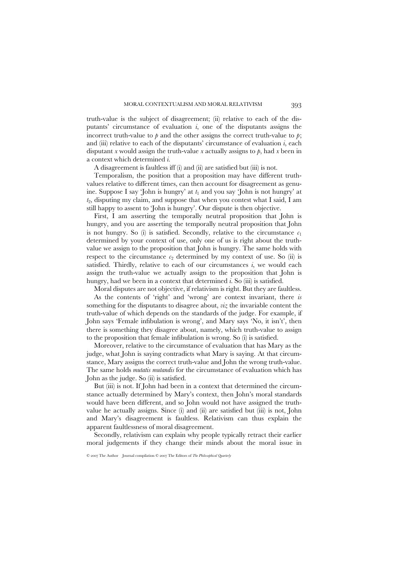truth-value is the subject of disagreement; (ii) relative to each of the disputants' circumstance of evaluation *i*, one of the disputants assigns the incorrect truth-value to  $\beta$  and the other assigns the correct truth-value to  $\beta$ ; and (iii) relative to each of the disputants' circumstance of evaluation *i*, each disputant *x* would assign the truth-value *x* actually assigns to *p*, had *x* been in a context which determined *i*.

A disagreement is faultless iff (i) and (ii) are satisfied but (iii) is not.

Temporalism, the position that a proposition may have different truthvalues relative to different times, can then account for disagreement as genuine. Suppose I say 'John is hungry' at *t*1 and you say 'John is not hungry' at  $t_2$ , disputing my claim, and suppose that when you contest what I said, I am still happy to assent to 'John is hungry'. Our dispute is then objective.

First, I am asserting the temporally neutral proposition that John is hungry, and you are asserting the temporally neutral proposition that John is not hungry. So (i) is satisfied. Secondly, relative to the circumstance  $c_1$ determined by your context of use, only one of us is right about the truthvalue we assign to the proposition that John is hungry. The same holds with respect to the circumstance  $c_2$  determined by my context of use. So (ii) is satisfied. Thirdly, relative to each of our circumstances *i*, we would each assign the truth-value we actually assign to the proposition that John is hungry, had we been in a context that determined *i*. So (iii) is satisfied.

Moral disputes are not objective, if relativism is right. But they are faultless.

As the contents of 'right' and 'wrong' are context invariant, there *is* something for the disputants to disagree about, *viz* the invariable content the truth-value of which depends on the standards of the judge. For example, if John says 'Female infibulation is wrong', and Mary says 'No, it isn't', then there is something they disagree about, namely, which truth-value to assign to the proposition that female infibulation is wrong. So (i) is satisfied.

Moreover, relative to the circumstance of evaluation that has Mary as the judge, what John is saying contradicts what Mary is saying. At that circumstance, Mary assigns the correct truth-value and John the wrong truth-value. The same holds *mutatis mutandis* for the circumstance of evaluation which has John as the judge. So (ii) is satisfied.

But (iii) is not. If John had been in a context that determined the circumstance actually determined by Mary's context, then John's moral standards would have been different, and so John would not have assigned the truthvalue he actually assigns. Since (i) and (ii) are satisfied but (iii) is not, John and Mary's disagreement is faultless. Relativism can thus explain the apparent faultlessness of moral disagreement.

Secondly, relativism can explain why people typically retract their earlier moral judgements if they change their minds about the moral issue in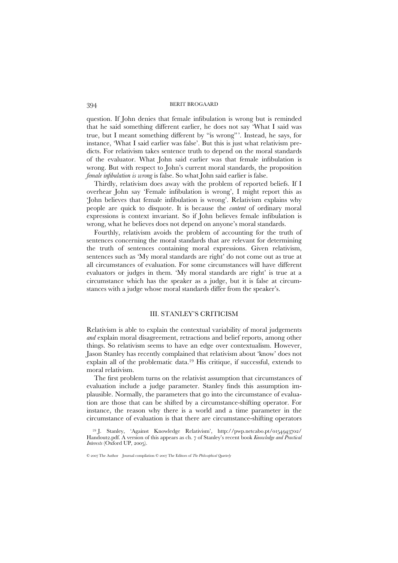question. If John denies that female infibulation is wrong but is reminded that he said something different earlier, he does not say 'What I said was true, but I meant something different by "is wrong"'. Instead, he says, for instance, 'What I said earlier was false'. But this is just what relativism predicts. For relativism takes sentence truth to depend on the moral standards of the evaluator. What John said earlier was that female infibulation is wrong. But with respect to John's current moral standards, the proposition *female infibulation is wrong* is false. So what John said earlier is false.

Thirdly, relativism does away with the problem of reported beliefs. If I overhear John say 'Female infibulation is wrong', I might report this as 'John believes that female infibulation is wrong'. Relativism explains why people are quick to disquote. It is because the *content* of ordinary moral expressions is context invariant. So if John believes female infibulation is wrong, what he believes does not depend on anyone's moral standards.

Fourthly, relativism avoids the problem of accounting for the truth of sentences concerning the moral standards that are relevant for determining the truth of sentences containing moral expressions. Given relativism, sentences such as 'My moral standards are right' do not come out as true at all circumstances of evaluation. For some circumstances will have different evaluators or judges in them. 'My moral standards are right' is true at a circumstance which has the speaker as a judge, but it is false at circumstances with a judge whose moral standards differ from the speaker's.

## III. STANLEY'S CRITICISM

Relativism is able to explain the contextual variability of moral judgements *and* explain moral disagreement, retractions and belief reports, among other things. So relativism seems to have an edge over contextualism. However, Jason Stanley has recently complained that relativism about 'know' does not explain all of the problematic data.19 His critique, if successful, extends to moral relativism.

The first problem turns on the relativist assumption that circumstances of evaluation include a judge parameter. Stanley finds this assumption implausible. Normally, the parameters that go into the circumstance of evaluation are those that can be shifted by a circumstance-shifting operator. For instance, the reason why there is a world and a time parameter in the circumstance of evaluation is that there are circumstance-shifting operators

<sup>&</sup>lt;sup>19</sup> J. Stanley, 'Against Knowledge Relativism', http://pwp.netcabo.pt/0154943702/ Handout2.pdf. A version of this appears as ch. 7 of Stanley's recent book *Knowledge and Practical Interests* (Oxford UP, 2005).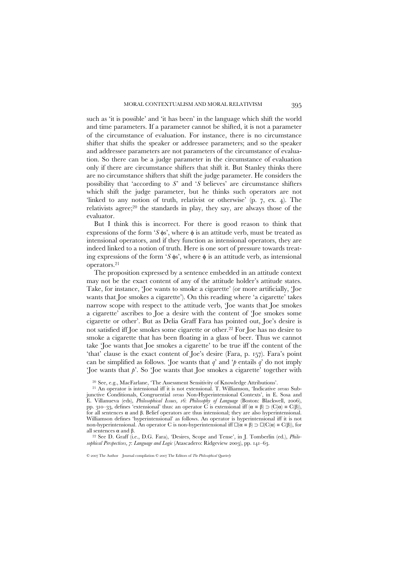such as 'it is possible' and 'it has been' in the language which shift the world and time parameters. If a parameter cannot be shifted, it is not a parameter of the circumstance of evaluation. For instance, there is no circumstance shifter that shifts the speaker or addressee parameters; and so the speaker and addressee parameters are not parameters of the circumstance of evaluation. So there can be a judge parameter in the circumstance of evaluation only if there are circumstance shifters that shift it. But Stanley thinks there are no circumstance shifters that shift the judge parameter. He considers the possibility that 'according to *S*' and '*S* believes' are circumstance shifters which shift the judge parameter, but he thinks such operators are not 'linked to any notion of truth, relativist or otherwise'  $(p. 7, ex. 4)$ . The relativists agree;<sup>20</sup> the standards in play, they say, are always those of the evaluator.

But I think this is incorrect. For there is good reason to think that expressions of the form '*S*  $\phi$ s', where  $\phi$  is an attitude verb, must be treated as intensional operators, and if they function as intensional operators, they are indeed linked to a notion of truth. Here is one sort of pressure towards treating expressions of the form  $S$   $\&$ s', where  $\phi$  is an attitude verb, as intensional operators.21

The proposition expressed by a sentence embedded in an attitude context may not be the exact content of any of the attitude holder's attitude states. Take, for instance, 'Joe wants to smoke a cigarette' (or more artificially, 'Joe wants that Joe smokes a cigarette'). On this reading where 'a cigarette' takes narrow scope with respect to the attitude verb, 'Joe wants that Joe smokes a cigarette' ascribes to Joe a desire with the content of 'Joe smokes some cigarette or other'. But as Delia Graff Fara has pointed out, Joe's desire is not satisfied iff Joe smokes some cigarette or other.22 For Joe has no desire to smoke a cigarette that has been floating in a glass of beer. Thus we cannot take 'Joe wants that Joe smokes a cigarette' to be true iff the content of the 'that' clause is the exact content of Joe's desire (Fara, p. 157). Fara's point can be simplified as follows. 'Joe wants that  $q$ ' and ' $p$  entails  $q$ ' do not imply 'Joe wants that *p*'. So 'Joe wants that Joe smokes a cigarette' together with

<sup>20</sup> See, e.g., MacFarlane, 'The Assessment Sensitivity of Knowledge Attributions'.

<sup>21</sup> An operator is intensional iff it is not extensional. T. Williamson, 'Indicative *versus* Subjunctive Conditionals, Congruential *versus* Non-Hyperintensional Contexts', in E. Sosa and E. Villanueva (eds), *Philosophical Issues, 16: Philosophy of Language* (Boston: Blackwell, 2006), pp. 310–33, defines 'extensional' thus: an operator C is extensional iff  $(α = β) \supset (C(α) = C(β))$ , for all sentences α and β. Belief operators are thus intensional; they are also hyperintensional. Williamson defines 'hyperintensional' as follows. An operator is hyperintensional iff it is not non-hyperintensional. An operator C is non-hyperintensional iff  $\square(\alpha = \beta) \supset \square(C(\alpha) = C(\beta))$ , for all sentences  $α$  and  $β$ .

<sup>22</sup> See D. Graff (i.e., D.G. Fara), 'Desires, Scope and Tense', in J. Tomberlin (ed.), *Philosophical Perspectives, 7: Language and Logic* (Atascadero: Ridgeview 2003), pp. 141–63.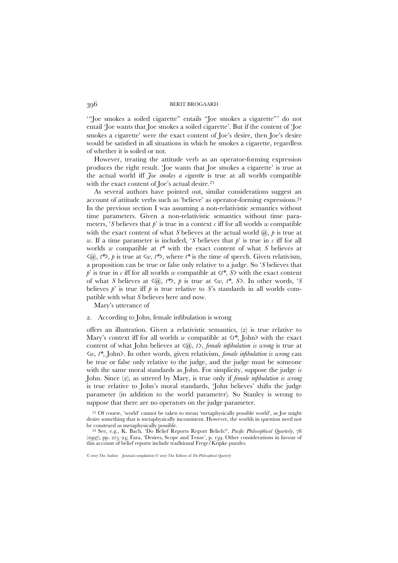'"Joe smokes a soiled cigarette" entails "Joe smokes a cigarette"' do not entail 'Joe wants that Joe smokes a soiled cigarette'. But if the content of 'Joe smokes a cigarette' were the exact content of Joe's desire, then Joe's desire would be satisfied in all situations in which he smokes a cigarette, regardless of whether it is soiled or not.

However, treating the attitude verb as an operator-forming expression produces the right result. 'Joe wants that Joe smokes a cigarette' is true at the actual world iff *Joe smokes a cigarette* is true at all worlds compatible with the exact content of Joe's actual desire.<sup>23</sup>

As several authors have pointed out, similar considerations suggest an account of attitude verbs such as 'believe' as operator-forming expressions.24 In the previous section I was assuming a non-relativistic semantics without time parameters. Given a non-relativistic semantics without time parameters, '*S* believes that  $p$ ' is true in a context  $c$  iff for all worlds  $w$  compatible with the exact content of what *S* believes at the actual world  $(0, p)$  is true at *w*. If a time parameter is included, '*S* believes that *p*' is true in *c* iff for all worlds *w* compatible at *t\** with the exact content of what *S* believes at  $\langle \omega, t^* \rangle$ , *p* is true at  $\langle w, t^* \rangle$ , where  $t^*$  is the time of speech. Given relativism, a proposition can be true or false only relative to a judge. So '*S* believes that  $p'$  is true in *c* iff for all worlds *w* compatible at  $\langle t^*, S \rangle$  with the exact content of what *S* believes at  $\langle \varphi, t^* \rangle$ , *p* is true at  $\langle w, t^*, S \rangle$ . In other words, '*S* believes  $p'$  is true iff  $p$  is true relative to *S*'s standards in all worlds compatible with what *S* believes here and now.

Mary's utterance of

. According to John, female infibulation is wrong

offers an illustration. Given a relativistic semantics,  $(2)$  is true relative to Mary's context iff for all worlds *w* compatible at  $\langle t^*, \text{John} \rangle$  with the exact content of what John believes at  $\langle \hat{\omega}, t \rangle$ , *female infibulation is wrong* is true at <sup>&</sup>lt;*w*, *t\**, John>. In other words, given relativism, *female infibulation is wrong* can be true or false only relative to the judge, and the judge must be someone with the same moral standards as John. For simplicity, suppose the judge *is* John. Since (2), as uttered by Mary, is true only if *female infibulation is wrong* is true relative to John's moral standards, 'John believes' shifts the judge parameter (in addition to the world parameter). So Stanley is wrong to suppose that there are no operators on the judge parameter.

<sup>23</sup> Of course, 'world' cannot be taken to mean 'metaphysically possible world', as Joe might desire something that is metaphysically inconsistent. However, the worlds in question need not be construed as metaphysically possible.

<sup>&</sup>lt;sup>24</sup> See, e.g., K. Bach, 'Do Belief Reports Report Beliefs?', *Pacific Philosophical Quarterly*, 78  $(1997)$ , pp. 215–24; Fara, 'Desires, Scope and Tense', p. 159. Other considerations in favour of this account of belief reports include traditional Frege/Kripke puzzles.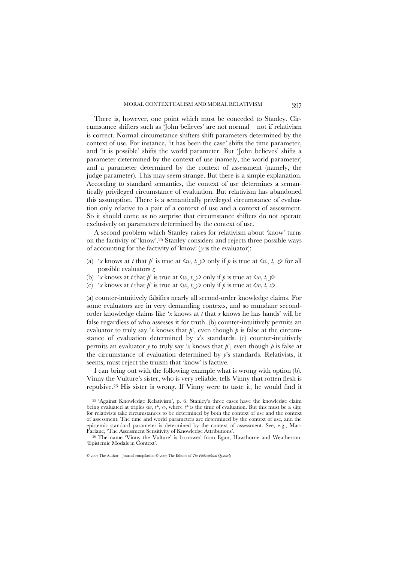There is, however, one point which must be conceded to Stanley. Circumstance shifters such as 'John believes' are not normal – not if relativism is correct. Normal circumstance shifters shift parameters determined by the context of use. For instance, 'it has been the case' shifts the time parameter, and 'it is possible' shifts the world parameter. But 'John believes' shifts a parameter determined by the context of use (namely, the world parameter) and a parameter determined by the context of assessment (namely, the judge parameter). This may seem strange. But there is a simple explanation. According to standard semantics, the context of use determines a semantically privileged circumstance of evaluation. But relativism has abandoned this assumption. There is a semantically privileged circumstance of evaluation only relative to a pair of a context of use and a context of assessment. So it should come as no surprise that circumstance shifters do not operate exclusively on parameters determined by the context of use.

A second problem which Stanley raises for relativism about 'know' turns on the factivity of 'know'.25 Stanley considers and rejects three possible ways of accounting for the factivity of 'know' (*y* is the evaluator):

- (a) '*x* knows at *t* that *p*' is true at  $\langle w, t, y \rangle$  only if *p* is true at  $\langle w, t, z \rangle$  for all possible evaluators *z*
- (b) '*x* knows at *t* that *p*' is true at  $\langle w, t, y \rangle$  only if *p* is true at  $\langle w, t, y \rangle$
- (c) '*x* knows at *t* that  $p'$  is true at  $\langle w, t, y \rangle$  only if  $p$  is true at  $\langle w, t, x \rangle$ .

(a) counter-intuitively falsifies nearly all second-order knowledge claims. For some evaluators are in very demanding contexts, and so mundane secondorder knowledge claims like '*x* knows at *t* that *x* knows he has hands' will be false regardless of who assesses it for truth. (b) counter-intuitively permits an evaluator to truly say '*x* knows that  $p$ ', even though  $p$  is false at the circumstance of evaluation determined by *x*'s standards. (c) counter-intuitively permits an evaluator *y* to truly say '*x* knows that  $p'$ , even though  $p$  is false at the circumstance of evaluation determined by *y*'s standards. Relativists, it seems, must reject the truism that 'know' is factive.

I can bring out with the following example what is wrong with option (b). Vinny the Vulture's sister, who is very reliable, tells Vinny that rotten flesh is repulsive.26 His sister is wrong. If Vinny were to taste it, he would find it

<sup>26</sup> The name 'Vinny the Vulture' is borrowed from Egan, Hawthorne and Weatherson, 'Epistemic Modals in Context'.

<sup>&</sup>lt;sup>25</sup> 'Against Knowledge Relativism', p. 6. Stanley's three cases have the knowledge claim being evaluated at triples <*w*, *t\**, *e*>, where *t\** is the time of evaluation. But this must be a slip; for relativists take circumstances to be determined by both the context of use and the context of assessment. The time and world parameters are determined by the context of use, and the epistemic standard parameter is determined by the context of assessment. See, e.g., Mac-Farlane, 'The Assessment Sensitivity of Knowledge Attributions'.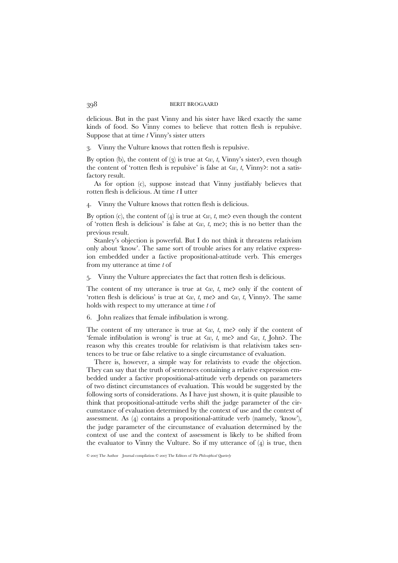delicious. But in the past Vinny and his sister have liked exactly the same kinds of food. So Vinny comes to believe that rotten flesh is repulsive. Suppose that at time *t* Vinny's sister utters

. Vinny the Vulture knows that rotten flesh is repulsive.

By option (b), the content of (3) is true at  $\langle w, t, \text{Vinny's sister}\rangle$ , even though the content of 'rotten flesh is repulsive' is false at <*w*, *t*, Vinny>: not a satisfactory result.

As for option (c), suppose instead that Vinny justifiably believes that rotten flesh is delicious. At time *t* I utter

. Vinny the Vulture knows that rotten flesh is delicious.

By option (c), the content of (4) is true at  $\langle w, t \rangle$ , me) even though the content of 'rotten flesh is delicious' is false at  $\langle w, t, me \rangle$ ; this is no better than the previous result.

Stanley's objection is powerful. But I do not think it threatens relativism only about 'know'. The same sort of trouble arises for any relative expression embedded under a factive propositional-attitude verb. This emerges from my utterance at time *t* of

. Vinny the Vulture appreciates the fact that rotten flesh is delicious.

The content of my utterance is true at  $\langle w, t, me \rangle$  only if the content of 'rotten flesh is delicious' is true at  $\langle w, t, me \rangle$  and  $\langle w, t, V$ inny). The same holds with respect to my utterance at time *t* of

. John realizes that female infibulation is wrong.

The content of my utterance is true at  $\langle w, t, me \rangle$  only if the content of 'female infibulation is wrong' is true at  $\langle w, t, me \rangle$  and  $\langle w, t, John \rangle$ . The reason why this creates trouble for relativism is that relativism takes sentences to be true or false relative to a single circumstance of evaluation.

There is, however, a simple way for relativists to evade the objection. They can say that the truth of sentences containing a relative expression embedded under a factive propositional-attitude verb depends on parameters of two distinct circumstances of evaluation. This would be suggested by the following sorts of considerations. As I have just shown, it is quite plausible to think that propositional-attitude verbs shift the judge parameter of the circumstance of evaluation determined by the context of use and the context of assessment. As  $(4)$  contains a propositional-attitude verb (namely, 'know'), the judge parameter of the circumstance of evaluation determined by the context of use and the context of assessment is likely to be shifted from the evaluator to Vinny the Vulture. So if my utterance of  $(4)$  is true, then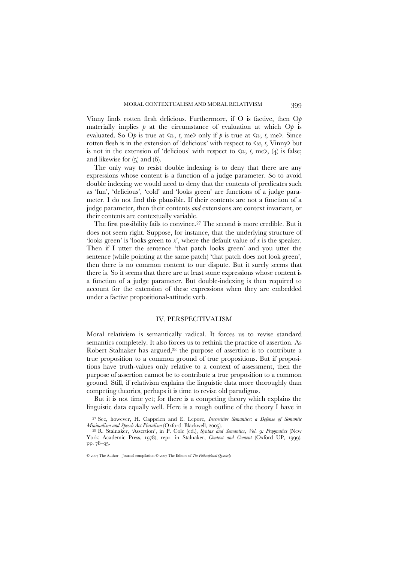Vinny finds rotten flesh delicious. Furthermore, if O is factive, then O*p* materially implies  $p$  at the circumstance of evaluation at which  $O_p$  is evaluated. So  $\overrightarrow{Op}$  is true at  $\langle w, t, me \rangle$  only if p is true at  $\langle w, t, me \rangle$ . Since rotten flesh is in the extension of 'delicious' with respect to <*w*, *t*, Vinny> but is not in the extension of 'delicious' with respect to  $\langle w, t, me \rangle$ , (4) is false; and likewise for  $(5)$  and  $(6)$ .

The only way to resist double indexing is to deny that there are any expressions whose content is a function of a judge parameter. So to avoid double indexing we would need to deny that the contents of predicates such as 'fun', 'delicious', 'cold' and 'looks green' are functions of a judge parameter. I do not find this plausible. If their contents are not a function of a judge parameter, then their contents *and* extensions are context invariant, or their contents are contextually variable.

The first possibility fails to convince.<sup>27</sup> The second is more credible. But it does not seem right. Suppose, for instance, that the underlying structure of 'looks green' is 'looks green to *x*', where the default value of *x* is the speaker. Then if I utter the sentence 'that patch looks green' and you utter the sentence (while pointing at the same patch) 'that patch does not look green', then there is no common content to our dispute. But it surely seems that there is. So it seems that there are at least some expressions whose content is a function of a judge parameter. But double-indexing is then required to account for the extension of these expressions when they are embedded under a factive propositional-attitude verb.

### IV. PERSPECTIVALISM

Moral relativism is semantically radical. It forces us to revise standard semantics completely. It also forces us to rethink the practice of assertion. As Robert Stalnaker has argued,28 the purpose of assertion is to contribute a true proposition to a common ground of true propositions. But if propositions have truth-values only relative to a context of assessment, then the purpose of assertion cannot be to contribute a true proposition to a common ground. Still, if relativism explains the linguistic data more thoroughly than competing theories, perhaps it is time to revise old paradigms.

But it is not time yet; for there is a competing theory which explains the linguistic data equally well. Here is a rough outline of the theory I have in

© 2007 The Author Journal compilation © 2007 The Editors of *The Philosophical Quarterly* 

<sup>27</sup> See, however, H. Cappelen and E. Lepore, *Insensitive Semantics: a Defense of Semantic Minimalism and Speech Act Pluralism* (Oxford: Blackwell, 2005).

<sup>28</sup> R. Stalnaker, 'Assertion', in P. Cole (ed.), *Syntax and Semantics, Vol. : Pragmatics* (New York: Academic Press, 1978), repr. in Stalnaker, *Context and Content* (Oxford UP, 1999), pp.  $78-95$ .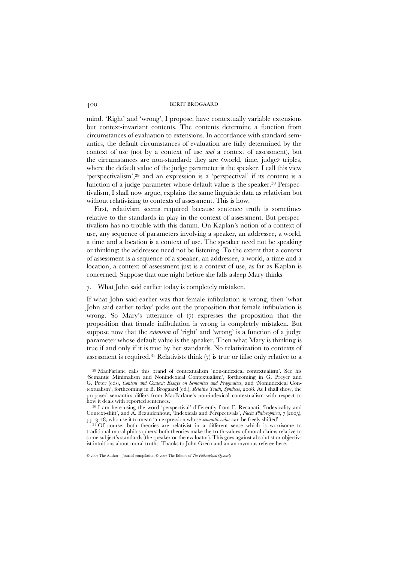mind. 'Right' and 'wrong', I propose, have contextually variable extensions but context-invariant contents. The contents determine a function from circumstances of evaluation to extensions. In accordance with standard semantics, the default circumstances of evaluation are fully determined by the context of use (not by a context of use *and* a context of assessment), but the circumstances are non-standard: they are <world, time, judge> triples, where the default value of the judge parameter is the speaker. I call this view 'perspectivalism',29 and an expression is a 'perspectival' if its content is a function of a judge parameter whose default value is the speaker.<sup>30</sup> Perspectivalism, I shall now argue, explains the same linguistic data as relativism but without relativizing to contexts of assessment. This is how.

First, relativism seems required because sentence truth is sometimes relative to the standards in play in the context of assessment. But perspectivalism has no trouble with this datum. On Kaplan's notion of a context of use, any sequence of parameters involving a speaker, an addressee, a world, a time and a location is a context of use. The speaker need not be speaking or thinking; the addressee need not be listening. To the extent that a context of assessment is a sequence of a speaker, an addressee, a world, a time and a location, a context of assessment just is a context of use, as far as Kaplan is concerned. Suppose that one night before she falls asleep Mary thinks

. What John said earlier today is completely mistaken.

If what John said earlier was that female infibulation is wrong, then 'what John said earlier today' picks out the proposition that female infibulation is wrong. So Mary's utterance of  $(7)$  expresses the proposition that the proposition that female infibulation is wrong is completely mistaken. But suppose now that the *extension* of 'right' and 'wrong' is a function of a judge parameter whose default value is the speaker. Then what Mary is thinking is true if and only if it is true by her standards. No relativization to contexts of assessment is required.<sup>31</sup> Relativists think  $(7)$  is true or false only relative to a

<sup>29</sup> MacFarlane calls this brand of contextualism 'non-indexical contextualism'. See his 'Semantic Minimalism and Nonindexical Contextualism', forthcoming in G. Preyer and G. Peter (eds), *Content and Context: Essays on Semantics and Pragmatics*, and 'Nonindexical Contextualism', forthcoming in B. Brogaard (ed.), *Relative Truth*, *Synthese*, 2008. As I shall show, the proposed semantics differs from MacFarlane's non-indexical contextualism with respect to how it deals with reported sentences.

<sup>30</sup> I am here using the word 'perspectival' differently from F. Recanati, 'Indexicality and Context-shift', and A. Bezuidenhout, 'Indexicals and Perspectivals', *Facta Philosophica*,  $7 (2005)$ , pp. –, who use it to mean 'an expression whose *semantic value* can be freely shifted'.

<sup>31</sup> Of course, both theories are relativist in a different sense which is worrisome to traditional moral philosophers: both theories make the truth-values of moral claims relative to some subject's standards (the speaker or the evaluator). This goes against absolutist or objectivist intuitions about moral truths. Thanks to John Greco and an anonymous referee here.

© 2007 The Author Journal compilation © 2007 The Editors of *The Philosophical Quarterly*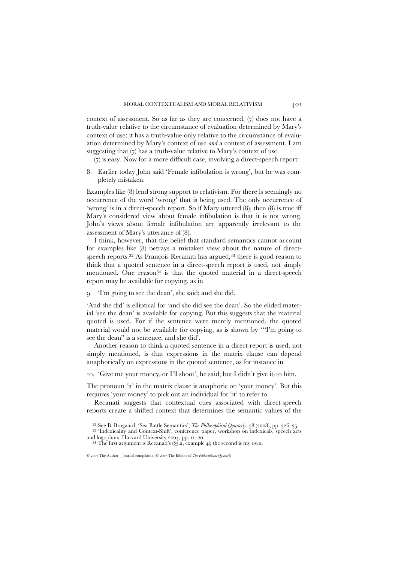context of assessment. So as far as they are concerned,  $(7)$  does not have a truth-value relative to the circumstance of evaluation determined by Mary's context of use: it has a truth-value only relative to the circumstance of evaluation determined by Mary's context of use *and* a context of assessment. I am suggesting that  $(7)$  has a truth-value relative to Mary's context of use.

 $(7)$  is easy. Now for a more difficult case, involving a direct-speech report:

. Earlier today John said 'Female infibulation is wrong', but he was completely mistaken.

Examples like (8) lend strong support to relativism. For there is seemingly no occurrence of the word 'wrong' that is being used. The only occurrence of 'wrong' is in a direct-speech report. So if Mary uttered  $(8)$ , then  $(8)$  is true iff Mary's considered view about female infibulation is that it is not wrong. John's views about female infibulation are apparently irrelevant to the assessment of Mary's utterance of  $(8)$ .

I think, however, that the belief that standard semantics cannot account for examples like (8) betrays a mistaken view about the nature of directspeech reports.<sup>32</sup> As François Recanati has argued,<sup>33</sup> there is good reason to think that a quoted sentence in a direct-speech report is used, not simply mentioned. One reason<sup>34</sup> is that the quoted material in a direct-speech report may be available for copying, as in

. 'I'm going to see the dean', she said; and she did.

'And she did' is elliptical for 'and she did see the dean'. So the elided material 'see the dean' is available for copying. But this suggests that the material quoted is used. For if the sentence were merely mentioned, the quoted material would not be available for copying, as is shown by '"I'm going to see the dean" is a sentence; and she did'.

Another reason to think a quoted sentence in a direct report is used, not simply mentioned, is that expressions in the matrix clause can depend anaphorically on expressions in the quoted sentence, as for instance in

10. 'Give me your money<sub>i</sub> or I'll shoot', he said; but I didn't give it<sub>i</sub> to him.

The pronoun 'it' in the matrix clause is anaphoric on 'your money'. But this requires 'your money' to pick out an individual for 'it' to refer to.

Recanati suggests that contextual cues associated with direct-speech reports create a shifted context that determines the semantic values of the

 $32$  See B. Brogaard, 'Sea Battle Semantics', *The Philosophical Quarterly*,  $58$  (2008), pp.  $326-35$ .

<sup>33</sup> 'Indexicality and Context-Shift', conference paper, workshop on indexicals, speech acts and logophors, Harvard University 2004, pp. 11-20.

<sup>&</sup>lt;sup>34</sup> The first argument is Recanati's  $(\S_3.2, \S_3.2, \S_4)$ ; the second is my own.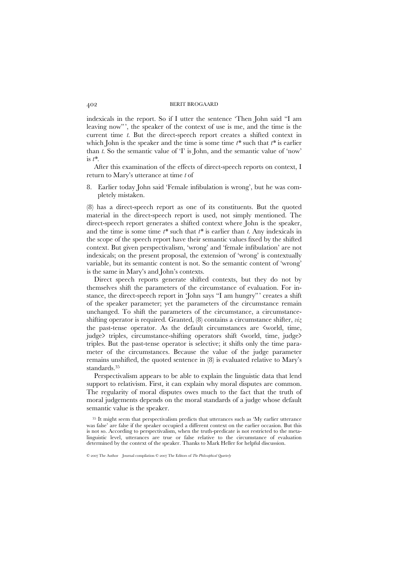indexicals in the report. So if I utter the sentence 'Then John said "I am leaving now"', the speaker of the context of use is me, and the time is the current time *t*. But the direct-speech report creates a shifted context in which John is the speaker and the time is some time  $t^*$  such that  $t^*$  is earlier than *t*. So the semantic value of 'I' is John, and the semantic value of 'now' is  $t^*$ .

After this examination of the effects of direct-speech reports on context, I return to Mary's utterance at time *t* of

. Earlier today John said 'Female infibulation is wrong', but he was completely mistaken.

(8) has a direct-speech report as one of its constituents. But the quoted material in the direct-speech report is used, not simply mentioned. The direct-speech report generates a shifted context where John is the speaker, and the time is some time *t\** such that *t\** is earlier than *t*. Any indexicals in the scope of the speech report have their semantic values fixed by the shifted context. But given perspectivalism, 'wrong' and 'female infibulation' are not indexicals; on the present proposal, the extension of 'wrong' is contextually variable, but its semantic content is not. So the semantic content of 'wrong' is the same in Mary's and John's contexts.

Direct speech reports generate shifted contexts, but they do not by themselves shift the parameters of the circumstance of evaluation. For instance, the direct-speech report in 'John says "I am hungry"' creates a shift of the speaker parameter; yet the parameters of the circumstance remain unchanged. To shift the parameters of the circumstance, a circumstanceshifting operator is required. Granted, (8) contains a circumstance shifter, *viz* the past-tense operator. As the default circumstances are <world, time, judge> triples, circumstance-shifting operators shift <world, time, judge> triples. But the past-tense operator is selective; it shifts only the time parameter of the circumstances. Because the value of the judge parameter remains unshifted, the quoted sentence in  $(8)$  is evaluated relative to Mary's standards.35

Perspectivalism appears to be able to explain the linguistic data that lend support to relativism. First, it can explain why moral disputes are common. The regularity of moral disputes owes much to the fact that the truth of moral judgements depends on the moral standards of a judge whose default semantic value is the speaker.

<sup>35</sup> It might seem that perspectivalism predicts that utterances such as 'My earlier utterance was false' are false if the speaker occupied a different context on the earlier occasion. But this is not so. According to perspectivalism, when the truth-predicate is not restricted to the metalinguistic level, utterances are true or false relative to the circumstance of evaluation determined by the context of the speaker. Thanks to Mark Heller for helpful discussion.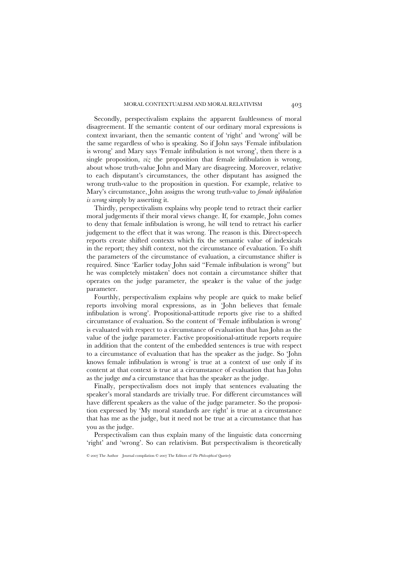Secondly, perspectivalism explains the apparent faultlessness of moral disagreement. If the semantic content of our ordinary moral expressions is context invariant, then the semantic content of 'right' and 'wrong' will be the same regardless of who is speaking. So if John says 'Female infibulation is wrong' and Mary says 'Female infibulation is not wrong', then there is a single proposition, *viz* the proposition that female infibulation is wrong, about whose truth-value John and Mary are disagreeing. Moreover, relative to each disputant's circumstances, the other disputant has assigned the wrong truth-value to the proposition in question. For example, relative to Mary's circumstance, John assigns the wrong truth-value to *female infibulation is wrong* simply by asserting it.

Thirdly, perspectivalism explains why people tend to retract their earlier moral judgements if their moral views change. If, for example, John comes to deny that female infibulation is wrong, he will tend to retract his earlier judgement to the effect that it was wrong. The reason is this. Direct-speech reports create shifted contexts which fix the semantic value of indexicals in the report; they shift context, not the circumstance of evaluation. To shift the parameters of the circumstance of evaluation, a circumstance shifter is required. Since 'Earlier today John said "Female infibulation is wrong" but he was completely mistaken' does not contain a circumstance shifter that operates on the judge parameter, the speaker is the value of the judge parameter.

Fourthly, perspectivalism explains why people are quick to make belief reports involving moral expressions, as in 'John believes that female infibulation is wrong'. Propositional-attitude reports give rise to a shifted circumstance of evaluation. So the content of 'Female infibulation is wrong' is evaluated with respect to a circumstance of evaluation that has John as the value of the judge parameter. Factive propositional-attitude reports require in addition that the content of the embedded sentences is true with respect to a circumstance of evaluation that has the speaker as the judge. So 'John knows female infibulation is wrong' is true at a context of use only if its content at that context is true at a circumstance of evaluation that has John as the judge *and* a circumstance that has the speaker as the judge.

Finally, perspectivalism does not imply that sentences evaluating the speaker's moral standards are trivially true. For different circumstances will have different speakers as the value of the judge parameter. So the proposition expressed by 'My moral standards are right' is true at a circumstance that has me as the judge, but it need not be true at a circumstance that has you as the judge.

Perspectivalism can thus explain many of the linguistic data concerning 'right' and 'wrong'. So can relativism. But perspectivalism is theoretically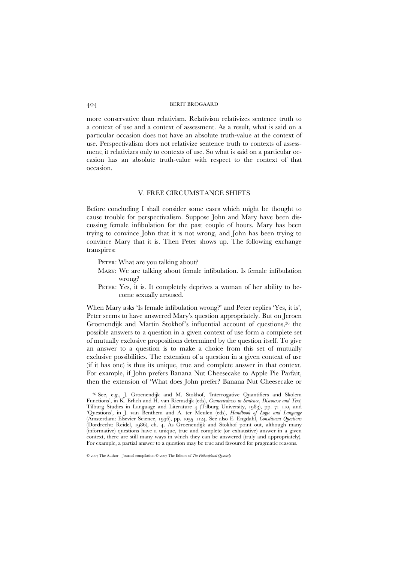more conservative than relativism. Relativism relativizes sentence truth to a context of use and a context of assessment. As a result, what is said on a particular occasion does not have an absolute truth-value at the context of use. Perspectivalism does not relativize sentence truth to contexts of assessment; it relativizes only to contexts of use. So what is said on a particular occasion has an absolute truth-value with respect to the context of that occasion.

## V. FREE CIRCUMSTANCE SHIFTS

Before concluding I shall consider some cases which might be thought to cause trouble for perspectivalism. Suppose John and Mary have been discussing female infibulation for the past couple of hours. Mary has been trying to convince John that it is not wrong, and John has been trying to convince Mary that it is. Then Peter shows up. The following exchange transpires:

- PETER: What are you talking about?
- MARY: We are talking about female infibulation. Is female infibulation wrong?
- PETER: Yes, it is. It completely deprives a woman of her ability to become sexually aroused.

When Mary asks 'Is female infibulation wrong?' and Peter replies 'Yes, it is', Peter seems to have answered Mary's question appropriately. But on Jeroen Groenendijk and Martin Stokhof's influential account of questions, 36 the possible answers to a question in a given context of use form a complete set of mutually exclusive propositions determined by the question itself. To give an answer to a question is to make a choice from this set of mutually exclusive possibilities. The extension of a question in a given context of use (if it has one) is thus its unique, true and complete answer in that context. For example, if John prefers Banana Nut Cheesecake to Apple Pie Parfait, then the extension of 'What does John prefer? Banana Nut Cheesecake or

<sup>36</sup> See, e.g., J. Groenendijk and M. Stokhof, 'Interrogative Quantifiers and Skolem Functions', in K. Erlich and H. van Riemsdijk (eds), *Connectedness in Sentence, Discourse and Text*, Tilburg Studies in Language and Literature  $\frac{1}{4}$  (Tilburg University, 1983), pp. 71–110, and 'Questions', in J. van Benthem and A. ter Meulen (eds), *Handbook of Logic and Language* (Amsterdam: Elsevier Science, 1996), pp. 1055-1124. See also E. Engdahl, *Constituent Questions* (Dordrecht: Reidel, 1986), ch. 4. As Groenendijk and Stokhof point out, although many (informative) questions have a unique, true and complete (or exhaustive) answer in a given context, there are still many ways in which they can be answered (truly and appropriately). For example, a partial answer to a question may be true and favoured for pragmatic reasons.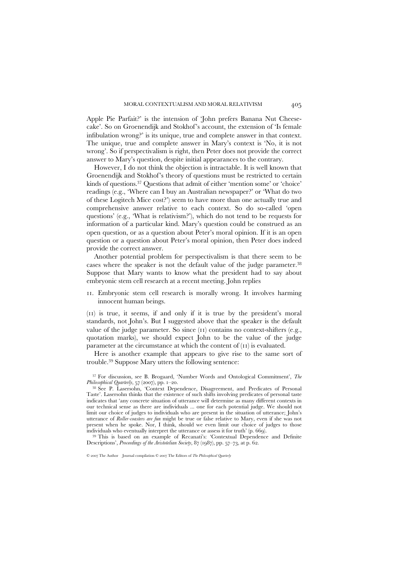Apple Pie Parfait?' is the intension of 'John prefers Banana Nut Cheesecake'. So on Groenendijk and Stokhof's account, the extension of 'Is female infibulation wrong?' is its unique, true and complete answer in that context. The unique, true and complete answer in Mary's context is 'No, it is not wrong'. So if perspectivalism is right, then Peter does not provide the correct answer to Mary's question, despite initial appearances to the contrary.

However, I do not think the objection is intractable. It is well known that Groenendijk and Stokhof's theory of questions must be restricted to certain kinds of questions.37 Questions that admit of either 'mention some' or 'choice' readings (e.g., 'Where can I buy an Australian newspaper?' or 'What do two of these Logitech Mice cost?') seem to have more than one actually true and comprehensive answer relative to each context. So do so-called 'open questions' (e.g., 'What is relativism?'), which do not tend to be requests for information of a particular kind. Mary's question could be construed as an open question, or as a question about Peter's moral opinion. If it is an open question or a question about Peter's moral opinion, then Peter does indeed provide the correct answer.

Another potential problem for perspectivalism is that there seem to be cases where the speaker is not the default value of the judge parameter.38 Suppose that Mary wants to know what the president had to say about embryonic stem cell research at a recent meeting. John replies

. Embryonic stem cell research is morally wrong. It involves harming innocent human beings.

 $(II)$  is true, it seems, if and only if it is true by the president's moral standards, not John's. But I suggested above that the speaker is the default value of the judge parameter. So since  $(11)$  contains no context-shifters (e.g., quotation marks), we should expect John to be the value of the judge parameter at the circumstance at which the content of  $(1)$  is evaluated.

Here is another example that appears to give rise to the same sort of trouble.39 Suppose Mary utters the following sentence:

<sup>39</sup> This is based on an example of Recanati's: 'Contextual Dependence and Definite Descriptions', *Proceedings of the Aristotelian Society*, 87 (1987), pp. 57–73, at p. 62.

<sup>37</sup> For discussion, see B. Brogaard, 'Number Words and Ontological Commitment', *The Philosophical Quarterly*, 57 (2007), pp. 1-20.

<sup>38</sup> See P. Lasersohn, 'Context Dependence, Disagreement, and Predicates of Personal Taste'. Lasersohn thinks that the existence of such shifts involving predicates of personal taste indicates that 'any concrete situation of utterance will determine as many different contexts in our technical sense as there are individuals ... one for each potential judge. We should not limit our choice of judges to individuals who are present in the situation of utterance; John's utterance of *Roller-coasters are fun* might be true or false relative to Mary, even if she was not present when he spoke. Nor, I think, should we even limit our choice of judges to those individuals who eventually interpret the utterance or assess it for truth' (p. 669).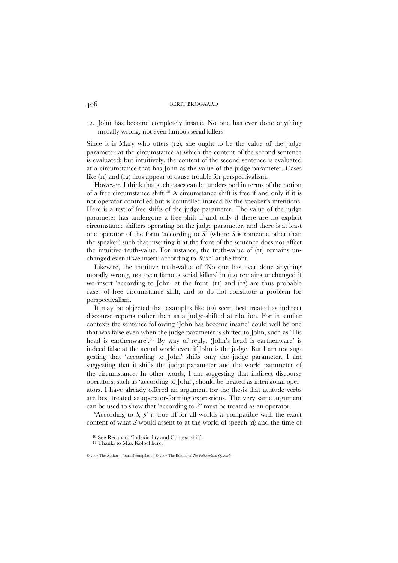. John has become completely insane. No one has ever done anything morally wrong, not even famous serial killers.

Since it is Mary who utters  $(12)$ , she ought to be the value of the judge parameter at the circumstance at which the content of the second sentence is evaluated; but intuitively, the content of the second sentence is evaluated at a circumstance that has John as the value of the judge parameter. Cases like  $(II)$  and  $(I2)$  thus appear to cause trouble for perspectivalism.

However, I think that such cases can be understood in terms of the notion of a free circumstance shift.40 A circumstance shift is free if and only if it is not operator controlled but is controlled instead by the speaker's intentions. Here is a test of free shifts of the judge parameter. The value of the judge parameter has undergone a free shift if and only if there are no explicit circumstance shifters operating on the judge parameter, and there is at least one operator of the form 'according to *S* ' (where *S* is someone other than the speaker) such that inserting it at the front of the sentence does not affect the intuitive truth-value. For instance, the truth-value of  $(11)$  remains unchanged even if we insert 'according to Bush' at the front.

Likewise, the intuitive truth-value of 'No one has ever done anything morally wrong, not even famous serial killers' in (12) remains unchanged if we insert 'according to John' at the front.  $(1)$  and  $(12)$  are thus probable cases of free circumstance shift, and so do not constitute a problem for perspectivalism.

It may be objected that examples like  $(12)$  seem best treated as indirect discourse reports rather than as a judge-shifted attribution. For in similar contexts the sentence following 'John has become insane' could well be one that was false even when the judge parameter is shifted to John, such as 'His head is earthenware'.<sup>41</sup> By way of reply, 'John's head is earthenware' is indeed false at the actual world even if John is the judge. But I am not suggesting that 'according to John' shifts only the judge parameter. I am suggesting that it shifts the judge parameter and the world parameter of the circumstance. In other words, I am suggesting that indirect discourse operators, such as 'according to John', should be treated as intensional operators. I have already offered an argument for the thesis that attitude verbs are best treated as operator-forming expressions. The very same argument can be used to show that 'according to *S*' must be treated as an operator.

'According to *S*, *p*' is true iff for all worlds *w* compatible with the exact content of what *S* would assent to at the world of speech @ and the time of

<sup>40</sup> See Recanati, 'Indexicality and Context-shift'.

<sup>41</sup> Thanks to Max Kölbel here.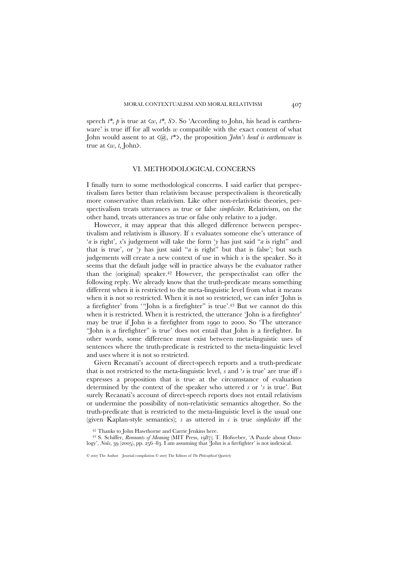speech *t\**, *p* is true at <*w*, *t\**, *S*>. So 'According to John, his head is earthenware' is true iff for all worlds *w* compatible with the exact content of what John would assent to at  $\langle \varphi, t^* \rangle$ , the proposition *John's head is earthenware* is true at  $\langle w, t \rangle$  John  $\rangle$ .

### VI. METHODOLOGICAL CONCERNS

I finally turn to some methodological concerns. I said earlier that perspectivalism fares better than relativism because perspectivalism is theoretically more conservative than relativism. Like other non-relativistic theories, perspectivalism treats utterances as true or false *simpliciter*. Relativism, on the other hand, treats utterances as true or false only relative to a judge.

However, it may appear that this alleged difference between perspectivalism and relativism is illusory. If *x* evaluates someone else's utterance of '*a* is right', *x*'s judgement will take the form '*y* has just said "*a* is right" and that is true', or '*y* has just said "*a* is right" but that is false'; but such judgements will create a new context of use in which *x* is the speaker. So it seems that the default judge will in practice always be the evaluator rather than the (original) speaker.<sup>42</sup> However, the perspectivalist can offer the following reply. We already know that the truth-predicate means something different when it is restricted to the meta-linguistic level from what it means when it is not so restricted. When it is not so restricted, we can infer 'John is a firefighter' from '"John is a firefighter" is true'.43 But we cannot do this when it is restricted. When it is restricted, the utterance 'John is a firefighter' may be true if John is a firefighter from 1990 to 2000. So 'The utterance "John is a firefighter" is true' does not entail that John is a firefighter. In other words, some difference must exist between meta-linguistic uses of sentences where the truth-predicate is restricted to the meta-linguistic level and uses where it is not so restricted.

Given Recanati's account of direct-speech reports and a truth-predicate that is not restricted to the meta-linguistic level, *s* and '*s* is true' are true iff *s* expresses a proposition that is true at the circumstance of evaluation determined by the context of the speaker who uttered *s* or '*s* is true'. But surely Recanati's account of direct-speech reports does not entail relativism or undermine the possibility of non-relativistic semantics altogether. So the truth-predicate that is restricted to the meta-linguistic level is the usual one (given Kaplan-style semantics); *s* as uttered in *c* is true *simpliciter* iff the

<sup>42</sup> Thanks to John Hawthorne and Carrie Jenkins here.

<sup>&</sup>lt;sup>43</sup> S. Schiffer, *Remnants of Meaning* (MIT Press, 1987); T. Hofweber, 'A Puzzle about Ontology', *Noûs*, 39 (2005), pp. 256-83. I am assuming that 'John is a firefighter' is not indexical.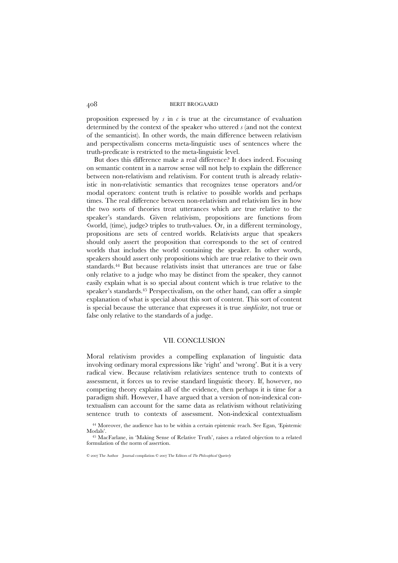proposition expressed by  $s$  in  $c$  is true at the circumstance of evaluation determined by the context of the speaker who uttered *s* (and not the context of the semanticist). In other words, the main difference between relativism and perspectivalism concerns meta-linguistic uses of sentences where the truth-predicate is restricted to the meta-linguistic level.

But does this difference make a real difference? It does indeed. Focusing on semantic content in a narrow sense will not help to explain the difference between non-relativism and relativism. For content truth is already relativistic in non-relativistic semantics that recognizes tense operators and/or modal operators: content truth is relative to possible worlds and perhaps times. The real difference between non-relativism and relativism lies in how the two sorts of theories treat utterances which are true relative to the speaker's standards. Given relativism, propositions are functions from <world, (time), judge> triples to truth-values. Or, in a different terminology, propositions are sets of centred worlds. Relativists argue that speakers should only assert the proposition that corresponds to the set of centred worlds that includes the world containing the speaker. In other words, speakers should assert only propositions which are true relative to their own standards.44 But because relativists insist that utterances are true or false only relative to a judge who may be distinct from the speaker, they cannot easily explain what is so special about content which is true relative to the speaker's standards.45 Perspectivalism, on the other hand, can offer a simple explanation of what is special about this sort of content. This sort of content is special because the utterance that expresses it is true *simpliciter*, not true or false only relative to the standards of a judge.

### VII. CONCLUSION

Moral relativism provides a compelling explanation of linguistic data involving ordinary moral expressions like 'right' and 'wrong'. But it is a very radical view. Because relativism relativizes sentence truth to contexts of assessment, it forces us to revise standard linguistic theory. If, however, no competing theory explains all of the evidence, then perhaps it is time for a paradigm shift. However, I have argued that a version of non-indexical contextualism can account for the same data as relativism without relativizing sentence truth to contexts of assessment. Non-indexical contextualism

<sup>44</sup> Moreover, the audience has to be within a certain epistemic reach. See Egan, 'Epistemic Modals'.

<sup>45</sup> MacFarlane, in 'Making Sense of Relative Truth', raises a related objection to a related formulation of the norm of assertion.